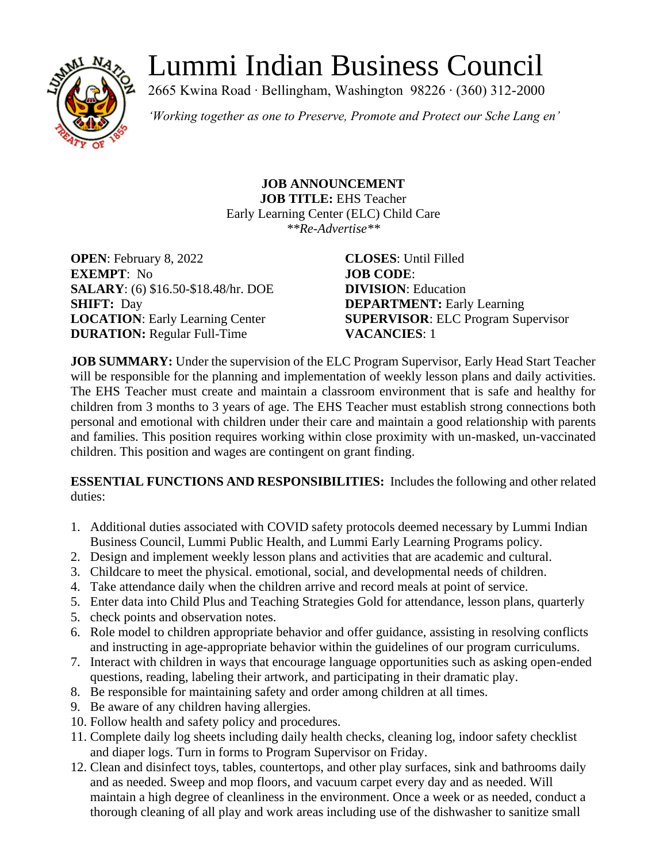# Lummi Indian Business Council



2665 Kwina Road ∙ Bellingham, Washington 98226 ∙ (360) 312-2000

*'Working together as one to Preserve, Promote and Protect our Sche Lang en'*

**JOB ANNOUNCEMENT JOB TITLE:** EHS Teacher Early Learning Center (ELC) Child Care *\*\*Re-Advertise\*\**

**OPEN**: February 8, 2022 **CLOSES**: Until Filled **EXEMPT**: No **JOB CODE**: **SALARY**: (6) \$16.50-\$18.48/hr. DOE **DIVISION**: Education **SHIFT:** Day **DEPARTMENT:** Early Learning **DURATION:** Regular Full-Time **VACANCIES**: 1

**LOCATION**: Early Learning Center **SUPERVISOR**: ELC Program Supervisor

**JOB SUMMARY:** Under the supervision of the ELC Program Supervisor, Early Head Start Teacher will be responsible for the planning and implementation of weekly lesson plans and daily activities. The EHS Teacher must create and maintain a classroom environment that is safe and healthy for children from 3 months to 3 years of age. The EHS Teacher must establish strong connections both personal and emotional with children under their care and maintain a good relationship with parents and families. This position requires working within close proximity with un-masked, un-vaccinated children. This position and wages are contingent on grant finding.

**ESSENTIAL FUNCTIONS AND RESPONSIBILITIES:** Includes the following and other related duties:

- 1. Additional duties associated with COVID safety protocols deemed necessary by Lummi Indian Business Council, Lummi Public Health, and Lummi Early Learning Programs policy.
- 2. Design and implement weekly lesson plans and activities that are academic and cultural.
- 3. Childcare to meet the physical. emotional, social, and developmental needs of children.
- 4. Take attendance daily when the children arrive and record meals at point of service.
- 5. Enter data into Child Plus and Teaching Strategies Gold for attendance, lesson plans, quarterly
- 5. check points and observation notes.
- 6. Role model to children appropriate behavior and offer guidance, assisting in resolving conflicts and instructing in age-appropriate behavior within the guidelines of our program curriculums.
- 7. Interact with children in ways that encourage language opportunities such as asking open-ended questions, reading, labeling their artwork, and participating in their dramatic play.
- 8. Be responsible for maintaining safety and order among children at all times.
- 9. Be aware of any children having allergies.
- 10. Follow health and safety policy and procedures.
- 11. Complete daily log sheets including daily health checks, cleaning log, indoor safety checklist and diaper logs. Turn in forms to Program Supervisor on Friday.
- 12. Clean and disinfect toys, tables, countertops, and other play surfaces, sink and bathrooms daily and as needed. Sweep and mop floors, and vacuum carpet every day and as needed. Will maintain a high degree of cleanliness in the environment. Once a week or as needed, conduct a thorough cleaning of all play and work areas including use of the dishwasher to sanitize small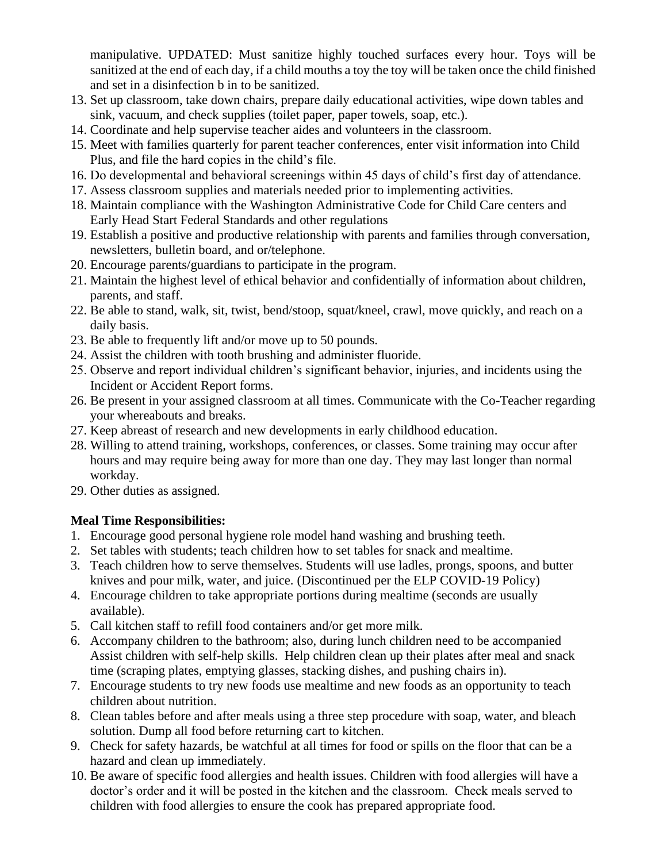manipulative. UPDATED: Must sanitize highly touched surfaces every hour. Toys will be sanitized at the end of each day, if a child mouths a toy the toy will be taken once the child finished and set in a disinfection b in to be sanitized.

- 13. Set up classroom, take down chairs, prepare daily educational activities, wipe down tables and sink, vacuum, and check supplies (toilet paper, paper towels, soap, etc.).
- 14. Coordinate and help supervise teacher aides and volunteers in the classroom.
- 15. Meet with families quarterly for parent teacher conferences, enter visit information into Child Plus, and file the hard copies in the child's file.
- 16. Do developmental and behavioral screenings within 45 days of child's first day of attendance.
- 17. Assess classroom supplies and materials needed prior to implementing activities.
- 18. Maintain compliance with the Washington Administrative Code for Child Care centers and Early Head Start Federal Standards and other regulations
- 19. Establish a positive and productive relationship with parents and families through conversation, newsletters, bulletin board, and or/telephone.
- 20. Encourage parents/guardians to participate in the program.
- 21. Maintain the highest level of ethical behavior and confidentially of information about children, parents, and staff.
- 22. Be able to stand, walk, sit, twist, bend/stoop, squat/kneel, crawl, move quickly, and reach on a daily basis.
- 23. Be able to frequently lift and/or move up to 50 pounds.
- 24. Assist the children with tooth brushing and administer fluoride.
- 25. Observe and report individual children's significant behavior, injuries, and incidents using the Incident or Accident Report forms.
- 26. Be present in your assigned classroom at all times. Communicate with the Co-Teacher regarding your whereabouts and breaks.
- 27. Keep abreast of research and new developments in early childhood education.
- 28. Willing to attend training, workshops, conferences, or classes. Some training may occur after hours and may require being away for more than one day. They may last longer than normal workday.
- 29. Other duties as assigned.

## **Meal Time Responsibilities:**

- 1. Encourage good personal hygiene role model hand washing and brushing teeth.
- 2. Set tables with students; teach children how to set tables for snack and mealtime.
- 3. Teach children how to serve themselves. Students will use ladles, prongs, spoons, and butter knives and pour milk, water, and juice. (Discontinued per the ELP COVID-19 Policy)
- 4. Encourage children to take appropriate portions during mealtime (seconds are usually available).
- 5. Call kitchen staff to refill food containers and/or get more milk.
- 6. Accompany children to the bathroom; also, during lunch children need to be accompanied Assist children with self-help skills. Help children clean up their plates after meal and snack time (scraping plates, emptying glasses, stacking dishes, and pushing chairs in).
- 7. Encourage students to try new foods use mealtime and new foods as an opportunity to teach children about nutrition.
- 8. Clean tables before and after meals using a three step procedure with soap, water, and bleach solution. Dump all food before returning cart to kitchen.
- 9. Check for safety hazards, be watchful at all times for food or spills on the floor that can be a hazard and clean up immediately.
- 10. Be aware of specific food allergies and health issues. Children with food allergies will have a doctor's order and it will be posted in the kitchen and the classroom. Check meals served to children with food allergies to ensure the cook has prepared appropriate food.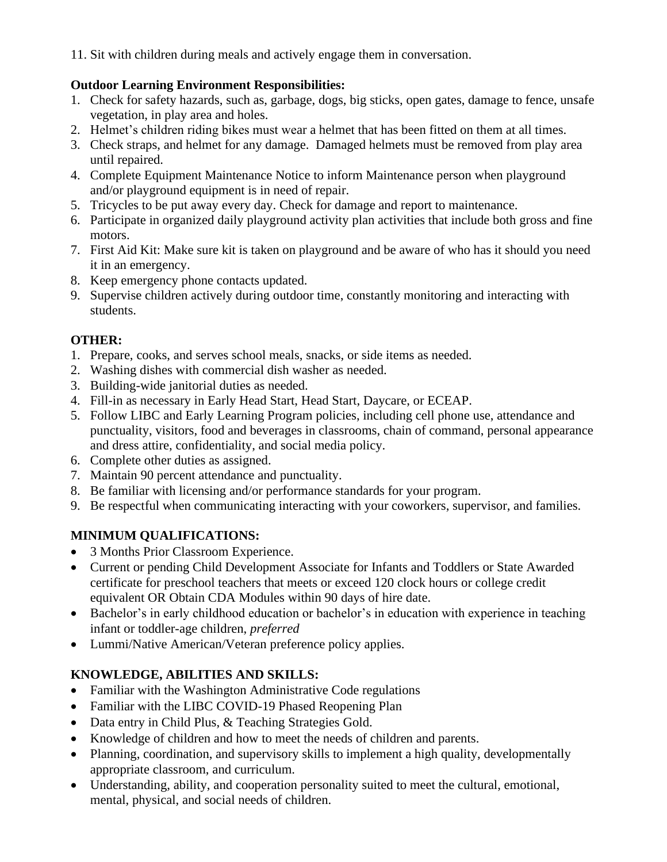11. Sit with children during meals and actively engage them in conversation.

## **Outdoor Learning Environment Responsibilities:**

- 1. Check for safety hazards, such as, garbage, dogs, big sticks, open gates, damage to fence, unsafe vegetation, in play area and holes.
- 2. Helmet's children riding bikes must wear a helmet that has been fitted on them at all times.
- 3. Check straps, and helmet for any damage. Damaged helmets must be removed from play area until repaired.
- 4. Complete Equipment Maintenance Notice to inform Maintenance person when playground and/or playground equipment is in need of repair.
- 5. Tricycles to be put away every day. Check for damage and report to maintenance.
- 6. Participate in organized daily playground activity plan activities that include both gross and fine motors.
- 7. First Aid Kit: Make sure kit is taken on playground and be aware of who has it should you need it in an emergency.
- 8. Keep emergency phone contacts updated.
- 9. Supervise children actively during outdoor time, constantly monitoring and interacting with students.

## **OTHER:**

- 1. Prepare, cooks, and serves school meals, snacks, or side items as needed.
- 2. Washing dishes with commercial dish washer as needed.
- 3. Building-wide janitorial duties as needed.
- 4. Fill-in as necessary in Early Head Start, Head Start, Daycare, or ECEAP.
- 5. Follow LIBC and Early Learning Program policies, including cell phone use, attendance and punctuality, visitors, food and beverages in classrooms, chain of command, personal appearance and dress attire, confidentiality, and social media policy.
- 6. Complete other duties as assigned.
- 7. Maintain 90 percent attendance and punctuality.
- 8. Be familiar with licensing and/or performance standards for your program.
- 9. Be respectful when communicating interacting with your coworkers, supervisor, and families.

# **MINIMUM QUALIFICATIONS:**

- 3 Months Prior Classroom Experience.
- Current or pending Child Development Associate for Infants and Toddlers or State Awarded certificate for preschool teachers that meets or exceed 120 clock hours or college credit equivalent OR Obtain CDA Modules within 90 days of hire date.
- Bachelor's in early childhood education or bachelor's in education with experience in teaching infant or toddler-age children, *preferred*
- Lummi/Native American/Veteran preference policy applies.

# **KNOWLEDGE, ABILITIES AND SKILLS:**

- Familiar with the Washington Administrative Code regulations
- Familiar with the LIBC COVID-19 Phased Reopening Plan
- Data entry in Child Plus, & Teaching Strategies Gold.
- Knowledge of children and how to meet the needs of children and parents.
- Planning, coordination, and supervisory skills to implement a high quality, developmentally appropriate classroom, and curriculum.
- Understanding, ability, and cooperation personality suited to meet the cultural, emotional, mental, physical, and social needs of children.